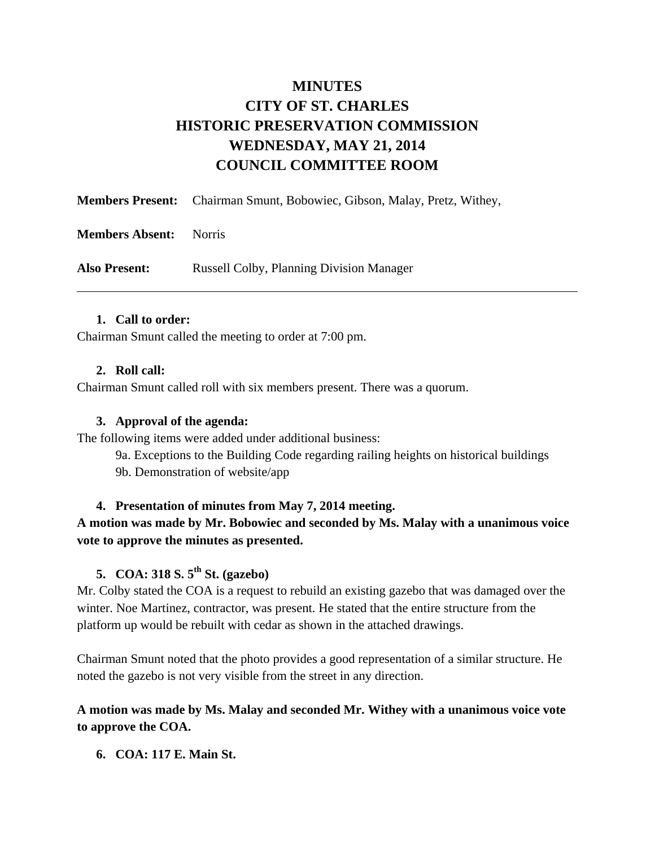# **MINUTES CITY OF ST. CHARLES HISTORIC PRESERVATION COMMISSION WEDNESDAY, MAY 21, 2014 COUNCIL COMMITTEE ROOM**

|                        | <b>Members Present:</b> Chairman Smunt, Bobowiec, Gibson, Malay, Pretz, Withey, |
|------------------------|---------------------------------------------------------------------------------|
| <b>Members Absent:</b> | <b>Norris</b>                                                                   |
| <b>Also Present:</b>   | <b>Russell Colby, Planning Division Manager</b>                                 |

#### **1. Call to order:**

Chairman Smunt called the meeting to order at 7:00 pm.

#### **2. Roll call:**

Chairman Smunt called roll with six members present. There was a quorum.

#### **3. Approval of the agenda:**

The following items were added under additional business:

9a. Exceptions to the Building Code regarding railing heights on historical buildings

9b. Demonstration of website/app

#### **4. Presentation of minutes from May 7, 2014 meeting.**

### **A motion was made by Mr. Bobowiec and seconded by Ms. Malay with a unanimous voice vote to approve the minutes as presented.**

# **5. COA: 318 S. 5th St. (gazebo)**

Mr. Colby stated the COA is a request to rebuild an existing gazebo that was damaged over the winter. Noe Martinez, contractor, was present. He stated that the entire structure from the platform up would be rebuilt with cedar as shown in the attached drawings.

Chairman Smunt noted that the photo provides a good representation of a similar structure. He noted the gazebo is not very visible from the street in any direction.

### **A motion was made by Ms. Malay and seconded Mr. Withey with a unanimous voice vote to approve the COA.**

#### **6. COA: 117 E. Main St.**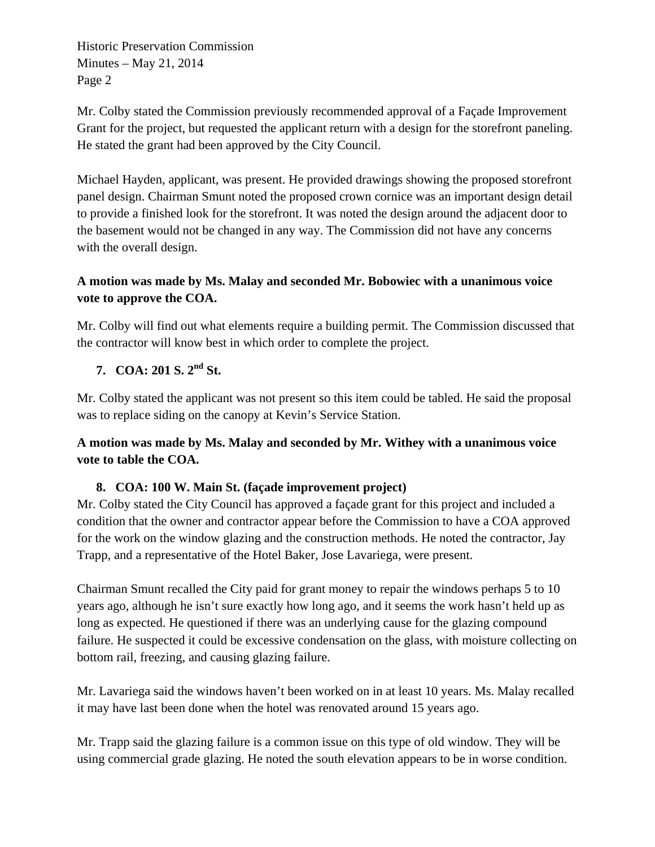Mr. Colby stated the Commission previously recommended approval of a Façade Improvement Grant for the project, but requested the applicant return with a design for the storefront paneling. He stated the grant had been approved by the City Council.

Michael Hayden, applicant, was present. He provided drawings showing the proposed storefront panel design. Chairman Smunt noted the proposed crown cornice was an important design detail to provide a finished look for the storefront. It was noted the design around the adjacent door to the basement would not be changed in any way. The Commission did not have any concerns with the overall design.

# **A motion was made by Ms. Malay and seconded Mr. Bobowiec with a unanimous voice vote to approve the COA.**

Mr. Colby will find out what elements require a building permit. The Commission discussed that the contractor will know best in which order to complete the project.

# **7. COA: 201 S. 2nd St.**

Mr. Colby stated the applicant was not present so this item could be tabled. He said the proposal was to replace siding on the canopy at Kevin's Service Station.

**A motion was made by Ms. Malay and seconded by Mr. Withey with a unanimous voice vote to table the COA.** 

### **8. COA: 100 W. Main St. (façade improvement project)**

Mr. Colby stated the City Council has approved a façade grant for this project and included a condition that the owner and contractor appear before the Commission to have a COA approved for the work on the window glazing and the construction methods. He noted the contractor, Jay Trapp, and a representative of the Hotel Baker, Jose Lavariega, were present.

Chairman Smunt recalled the City paid for grant money to repair the windows perhaps 5 to 10 years ago, although he isn't sure exactly how long ago, and it seems the work hasn't held up as long as expected. He questioned if there was an underlying cause for the glazing compound failure. He suspected it could be excessive condensation on the glass, with moisture collecting on bottom rail, freezing, and causing glazing failure.

Mr. Lavariega said the windows haven't been worked on in at least 10 years. Ms. Malay recalled it may have last been done when the hotel was renovated around 15 years ago.

Mr. Trapp said the glazing failure is a common issue on this type of old window. They will be using commercial grade glazing. He noted the south elevation appears to be in worse condition.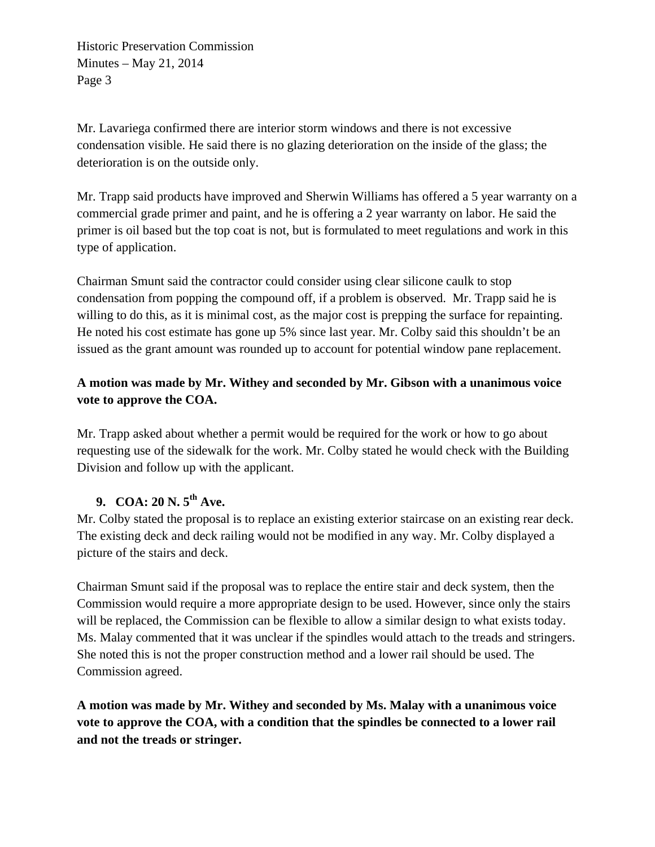Mr. Lavariega confirmed there are interior storm windows and there is not excessive condensation visible. He said there is no glazing deterioration on the inside of the glass; the deterioration is on the outside only.

Mr. Trapp said products have improved and Sherwin Williams has offered a 5 year warranty on a commercial grade primer and paint, and he is offering a 2 year warranty on labor. He said the primer is oil based but the top coat is not, but is formulated to meet regulations and work in this type of application.

Chairman Smunt said the contractor could consider using clear silicone caulk to stop condensation from popping the compound off, if a problem is observed. Mr. Trapp said he is willing to do this, as it is minimal cost, as the major cost is prepping the surface for repainting. He noted his cost estimate has gone up 5% since last year. Mr. Colby said this shouldn't be an issued as the grant amount was rounded up to account for potential window pane replacement.

# **A motion was made by Mr. Withey and seconded by Mr. Gibson with a unanimous voice vote to approve the COA.**

Mr. Trapp asked about whether a permit would be required for the work or how to go about requesting use of the sidewalk for the work. Mr. Colby stated he would check with the Building Division and follow up with the applicant.

# **9. COA: 20 N. 5th Ave.**

Mr. Colby stated the proposal is to replace an existing exterior staircase on an existing rear deck. The existing deck and deck railing would not be modified in any way. Mr. Colby displayed a picture of the stairs and deck.

Chairman Smunt said if the proposal was to replace the entire stair and deck system, then the Commission would require a more appropriate design to be used. However, since only the stairs will be replaced, the Commission can be flexible to allow a similar design to what exists today. Ms. Malay commented that it was unclear if the spindles would attach to the treads and stringers. She noted this is not the proper construction method and a lower rail should be used. The Commission agreed.

**A motion was made by Mr. Withey and seconded by Ms. Malay with a unanimous voice vote to approve the COA, with a condition that the spindles be connected to a lower rail and not the treads or stringer.**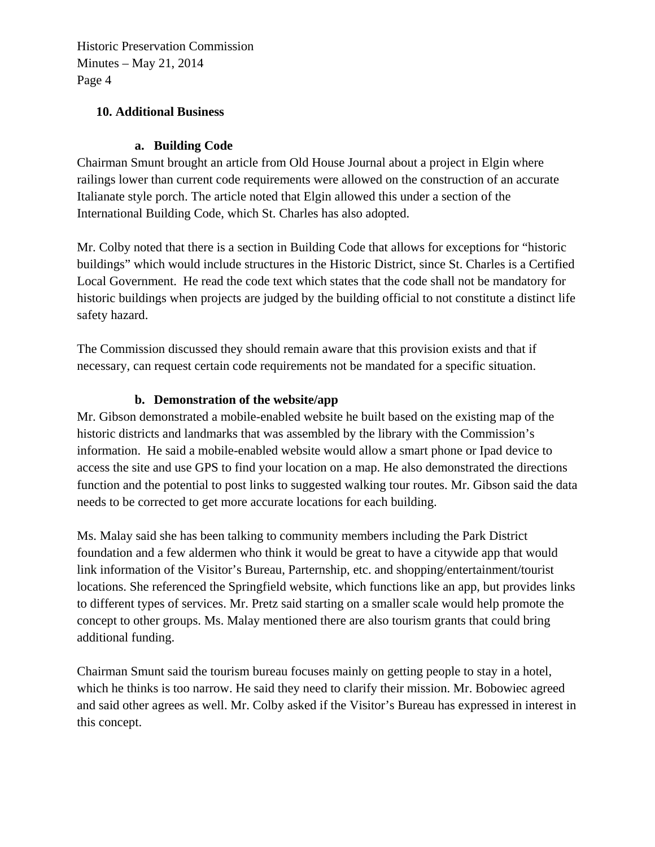### **10. Additional Business**

### **a. Building Code**

Chairman Smunt brought an article from Old House Journal about a project in Elgin where railings lower than current code requirements were allowed on the construction of an accurate Italianate style porch. The article noted that Elgin allowed this under a section of the International Building Code, which St. Charles has also adopted.

Mr. Colby noted that there is a section in Building Code that allows for exceptions for "historic buildings" which would include structures in the Historic District, since St. Charles is a Certified Local Government. He read the code text which states that the code shall not be mandatory for historic buildings when projects are judged by the building official to not constitute a distinct life safety hazard.

The Commission discussed they should remain aware that this provision exists and that if necessary, can request certain code requirements not be mandated for a specific situation.

#### **b. Demonstration of the website/app**

Mr. Gibson demonstrated a mobile-enabled website he built based on the existing map of the historic districts and landmarks that was assembled by the library with the Commission's information. He said a mobile-enabled website would allow a smart phone or Ipad device to access the site and use GPS to find your location on a map. He also demonstrated the directions function and the potential to post links to suggested walking tour routes. Mr. Gibson said the data needs to be corrected to get more accurate locations for each building.

Ms. Malay said she has been talking to community members including the Park District foundation and a few aldermen who think it would be great to have a citywide app that would link information of the Visitor's Bureau, Parternship, etc. and shopping/entertainment/tourist locations. She referenced the Springfield website, which functions like an app, but provides links to different types of services. Mr. Pretz said starting on a smaller scale would help promote the concept to other groups. Ms. Malay mentioned there are also tourism grants that could bring additional funding.

Chairman Smunt said the tourism bureau focuses mainly on getting people to stay in a hotel, which he thinks is too narrow. He said they need to clarify their mission. Mr. Bobowiec agreed and said other agrees as well. Mr. Colby asked if the Visitor's Bureau has expressed in interest in this concept.